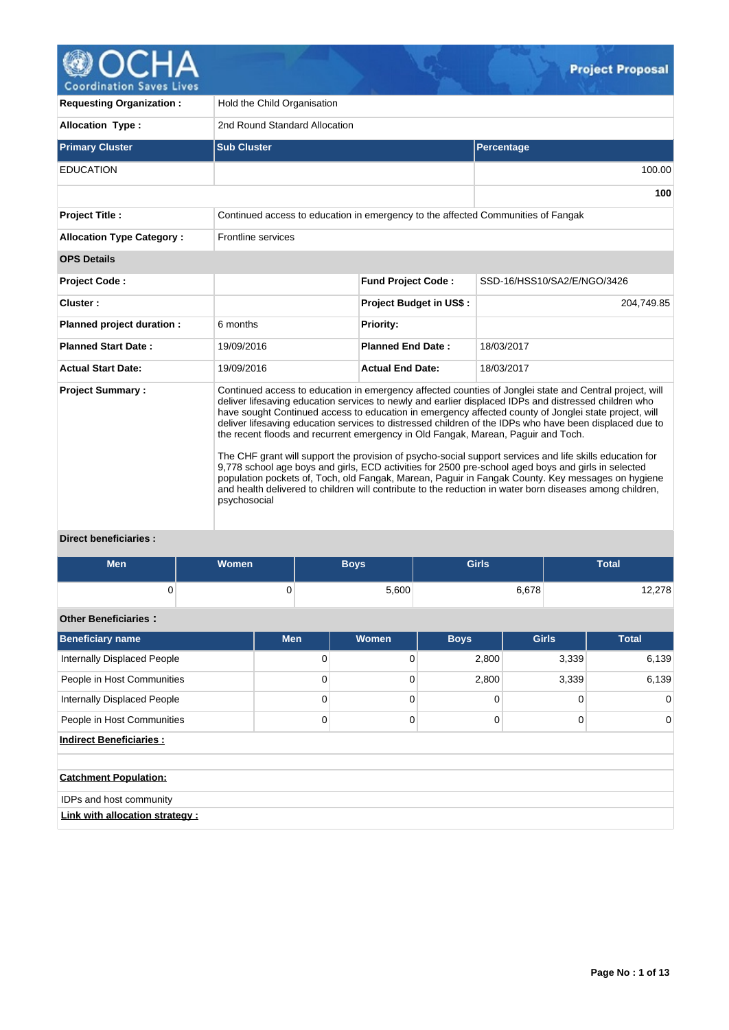

V.

| <b>Requesting Organization:</b>  | Hold the Child Organisation                                                      |                                |                                                                                                                                                                                                                                                                                                                                                                                                                                                                                                                                                                                                                                                                                                                                                                                                                                                                                                                                                               |  |  |  |  |  |  |
|----------------------------------|----------------------------------------------------------------------------------|--------------------------------|---------------------------------------------------------------------------------------------------------------------------------------------------------------------------------------------------------------------------------------------------------------------------------------------------------------------------------------------------------------------------------------------------------------------------------------------------------------------------------------------------------------------------------------------------------------------------------------------------------------------------------------------------------------------------------------------------------------------------------------------------------------------------------------------------------------------------------------------------------------------------------------------------------------------------------------------------------------|--|--|--|--|--|--|
| <b>Allocation Type:</b>          | 2nd Round Standard Allocation                                                    |                                |                                                                                                                                                                                                                                                                                                                                                                                                                                                                                                                                                                                                                                                                                                                                                                                                                                                                                                                                                               |  |  |  |  |  |  |
| <b>Primary Cluster</b>           | <b>Sub Cluster</b>                                                               |                                | <b>Percentage</b>                                                                                                                                                                                                                                                                                                                                                                                                                                                                                                                                                                                                                                                                                                                                                                                                                                                                                                                                             |  |  |  |  |  |  |
| <b>EDUCATION</b>                 |                                                                                  |                                | 100.00                                                                                                                                                                                                                                                                                                                                                                                                                                                                                                                                                                                                                                                                                                                                                                                                                                                                                                                                                        |  |  |  |  |  |  |
|                                  |                                                                                  |                                | 100                                                                                                                                                                                                                                                                                                                                                                                                                                                                                                                                                                                                                                                                                                                                                                                                                                                                                                                                                           |  |  |  |  |  |  |
| <b>Project Title:</b>            | Continued access to education in emergency to the affected Communities of Fangak |                                |                                                                                                                                                                                                                                                                                                                                                                                                                                                                                                                                                                                                                                                                                                                                                                                                                                                                                                                                                               |  |  |  |  |  |  |
| <b>Allocation Type Category:</b> | Frontline services                                                               |                                |                                                                                                                                                                                                                                                                                                                                                                                                                                                                                                                                                                                                                                                                                                                                                                                                                                                                                                                                                               |  |  |  |  |  |  |
| <b>OPS Details</b>               |                                                                                  |                                |                                                                                                                                                                                                                                                                                                                                                                                                                                                                                                                                                                                                                                                                                                                                                                                                                                                                                                                                                               |  |  |  |  |  |  |
| Project Code:                    |                                                                                  | <b>Fund Project Code:</b>      | SSD-16/HSS10/SA2/E/NGO/3426                                                                                                                                                                                                                                                                                                                                                                                                                                                                                                                                                                                                                                                                                                                                                                                                                                                                                                                                   |  |  |  |  |  |  |
| Cluster:                         |                                                                                  | <b>Project Budget in US\$:</b> | 204,749.85                                                                                                                                                                                                                                                                                                                                                                                                                                                                                                                                                                                                                                                                                                                                                                                                                                                                                                                                                    |  |  |  |  |  |  |
| Planned project duration :       | 6 months                                                                         | <b>Priority:</b>               |                                                                                                                                                                                                                                                                                                                                                                                                                                                                                                                                                                                                                                                                                                                                                                                                                                                                                                                                                               |  |  |  |  |  |  |
| <b>Planned Start Date:</b>       | 19/09/2016                                                                       | <b>Planned End Date:</b>       | 18/03/2017                                                                                                                                                                                                                                                                                                                                                                                                                                                                                                                                                                                                                                                                                                                                                                                                                                                                                                                                                    |  |  |  |  |  |  |
| <b>Actual Start Date:</b>        | 19/09/2016                                                                       | <b>Actual End Date:</b>        | 18/03/2017                                                                                                                                                                                                                                                                                                                                                                                                                                                                                                                                                                                                                                                                                                                                                                                                                                                                                                                                                    |  |  |  |  |  |  |
| <b>Project Summary:</b>          | psychosocial                                                                     |                                | Continued access to education in emergency affected counties of Jonglei state and Central project, will<br>deliver lifesaving education services to newly and earlier displaced IDPs and distressed children who<br>have sought Continued access to education in emergency affected county of Jonglei state project, will<br>deliver lifesaving education services to distressed children of the IDPs who have been displaced due to<br>the recent floods and recurrent emergency in Old Fangak, Marean, Paguir and Toch.<br>The CHF grant will support the provision of psycho-social support services and life skills education for<br>9,778 school age boys and girls, ECD activities for 2500 pre-school aged boys and girls in selected<br>population pockets of, Toch, old Fangak, Marean, Paguir in Fangak County. Key messages on hygiene<br>and health delivered to children will contribute to the reduction in water born diseases among children, |  |  |  |  |  |  |

# **Direct beneficiaries :**

| <b>Men</b>                      | Women |                | <b>Boys</b>  | <b>Girls</b> |              | <b>Total</b> |
|---------------------------------|-------|----------------|--------------|--------------|--------------|--------------|
| $\Omega$                        |       | $\overline{0}$ | 5,600        |              | 6,678        | 12,278       |
| <b>Other Beneficiaries:</b>     |       |                |              |              |              |              |
| <b>Beneficiary name</b>         |       | <b>Men</b>     | <b>Women</b> | <b>Boys</b>  | <b>Girls</b> | <b>Total</b> |
| Internally Displaced People     |       | $\mathbf 0$    | 0            | 2,800        | 3,339        | 6,139        |
| People in Host Communities      |       | 0              | 0            | 2,800        | 3,339        | 6,139        |
| Internally Displaced People     |       | $\mathbf 0$    | 0            | 0            | 0            | $\mathbf 0$  |
| People in Host Communities      |       | 0              | 0            | 0            | 0            | $\Omega$     |
| <b>Indirect Beneficiaries:</b>  |       |                |              |              |              |              |
|                                 |       |                |              |              |              |              |
| <b>Catchment Population:</b>    |       |                |              |              |              |              |
| IDPs and host community         |       |                |              |              |              |              |
| Link with allocation strategy : |       |                |              |              |              |              |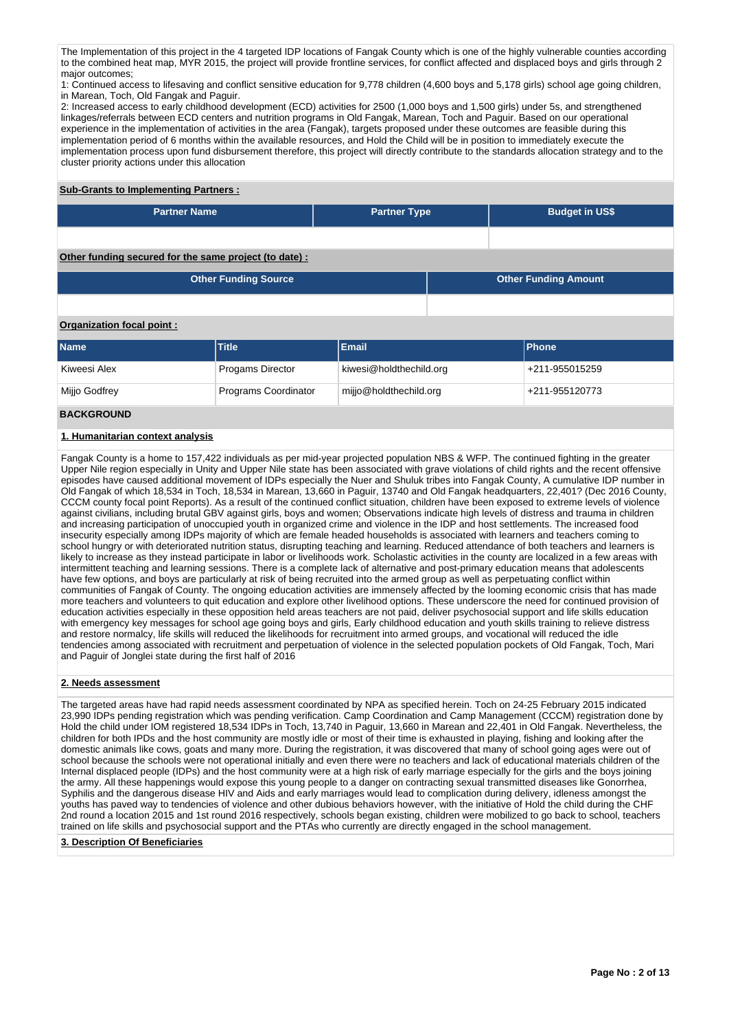The Implementation of this project in the 4 targeted IDP locations of Fangak County which is one of the highly vulnerable counties according to the combined heat map, MYR 2015, the project will provide frontline services, for conflict affected and displaced boys and girls through 2 major outcomes;

1: Continued access to lifesaving and conflict sensitive education for 9,778 children (4,600 boys and 5,178 girls) school age going children, in Marean, Toch, Old Fangak and Paguir.

2: Increased access to early childhood development (ECD) activities for 2500 (1,000 boys and 1,500 girls) under 5s, and strengthened linkages/referrals between ECD centers and nutrition programs in Old Fangak, Marean, Toch and Paguir. Based on our operational experience in the implementation of activities in the area (Fangak), targets proposed under these outcomes are feasible during this implementation period of 6 months within the available resources, and Hold the Child will be in position to immediately execute the implementation process upon fund disbursement therefore, this project will directly contribute to the standards allocation strategy and to the cluster priority actions under this allocation

# **Sub-Grants to Implementing Partners :**

| <b>Partner Name</b> | <b>Partner Type</b> | <b>Budget in US\$</b> |
|---------------------|---------------------|-----------------------|
|                     |                     |                       |

# **Other funding secured for the same project (to date) :**

| <b>Other Funding Source</b> | <b>Other Funding Amount</b> |
|-----------------------------|-----------------------------|
|                             |                             |

# **Organization focal point :**

| <b>Name</b>   | <b>Title</b>            | <b>Email</b>            | <b>IPhone</b>  |
|---------------|-------------------------|-------------------------|----------------|
| Kiweesi Alex  | <b>Progams Director</b> | kiwesi@holdthechild.org | +211-955015259 |
| Mijjo Godfrey | Programs Coordinator    | mijjo@holdthechild.org  | +211-955120773 |

# **BACKGROUND**

### **1. Humanitarian context analysis**

Fangak County is a home to 157,422 individuals as per mid-year projected population NBS & WFP. The continued fighting in the greater Upper Nile region especially in Unity and Upper Nile state has been associated with grave violations of child rights and the recent offensive episodes have caused additional movement of IDPs especially the Nuer and Shuluk tribes into Fangak County, A cumulative IDP number in Old Fangak of which 18,534 in Toch, 18,534 in Marean, 13,660 in Paguir, 13740 and Old Fangak headquarters, 22,401? (Dec 2016 County, CCCM county focal point Reports). As a result of the continued conflict situation, children have been exposed to extreme levels of violence against civilians, including brutal GBV against girls, boys and women; Observations indicate high levels of distress and trauma in children and increasing participation of unoccupied youth in organized crime and violence in the IDP and host settlements. The increased food insecurity especially among IDPs majority of which are female headed households is associated with learners and teachers coming to school hungry or with deteriorated nutrition status, disrupting teaching and learning. Reduced attendance of both teachers and learners is likely to increase as they instead participate in labor or livelihoods work. Scholastic activities in the county are localized in a few areas with intermittent teaching and learning sessions. There is a complete lack of alternative and post-primary education means that adolescents have few options, and boys are particularly at risk of being recruited into the armed group as well as perpetuating conflict within communities of Fangak of County. The ongoing education activities are immensely affected by the looming economic crisis that has made more teachers and volunteers to quit education and explore other livelihood options. These underscore the need for continued provision of education activities especially in these opposition held areas teachers are not paid, deliver psychosocial support and life skills education with emergency key messages for school age going boys and girls, Early childhood education and youth skills training to relieve distress and restore normalcy, life skills will reduced the likelihoods for recruitment into armed groups, and vocational will reduced the idle tendencies among associated with recruitment and perpetuation of violence in the selected population pockets of Old Fangak, Toch, Mari and Paguir of Jonglei state during the first half of 2016

# **2. Needs assessment**

The targeted areas have had rapid needs assessment coordinated by NPA as specified herein. Toch on 24-25 February 2015 indicated 23,990 IDPs pending registration which was pending verification. Camp Coordination and Camp Management (CCCM) registration done by Hold the child under IOM registered 18,534 IDPs in Toch, 13,740 in Paguir, 13,660 in Marean and 22,401 in Old Fangak. Nevertheless, the children for both IPDs and the host community are mostly idle or most of their time is exhausted in playing, fishing and looking after the domestic animals like cows, goats and many more. During the registration, it was discovered that many of school going ages were out of school because the schools were not operational initially and even there were no teachers and lack of educational materials children of the Internal displaced people (IDPs) and the host community were at a high risk of early marriage especially for the girls and the boys joining the army. All these happenings would expose this young people to a danger on contracting sexual transmitted diseases like Gonorrhea, Syphilis and the dangerous disease HIV and Aids and early marriages would lead to complication during delivery, idleness amongst the youths has paved way to tendencies of violence and other dubious behaviors however, with the initiative of Hold the child during the CHF 2nd round a location 2015 and 1st round 2016 respectively, schools began existing, children were mobilized to go back to school, teachers trained on life skills and psychosocial support and the PTAs who currently are directly engaged in the school management.

### **3. Description Of Beneficiaries**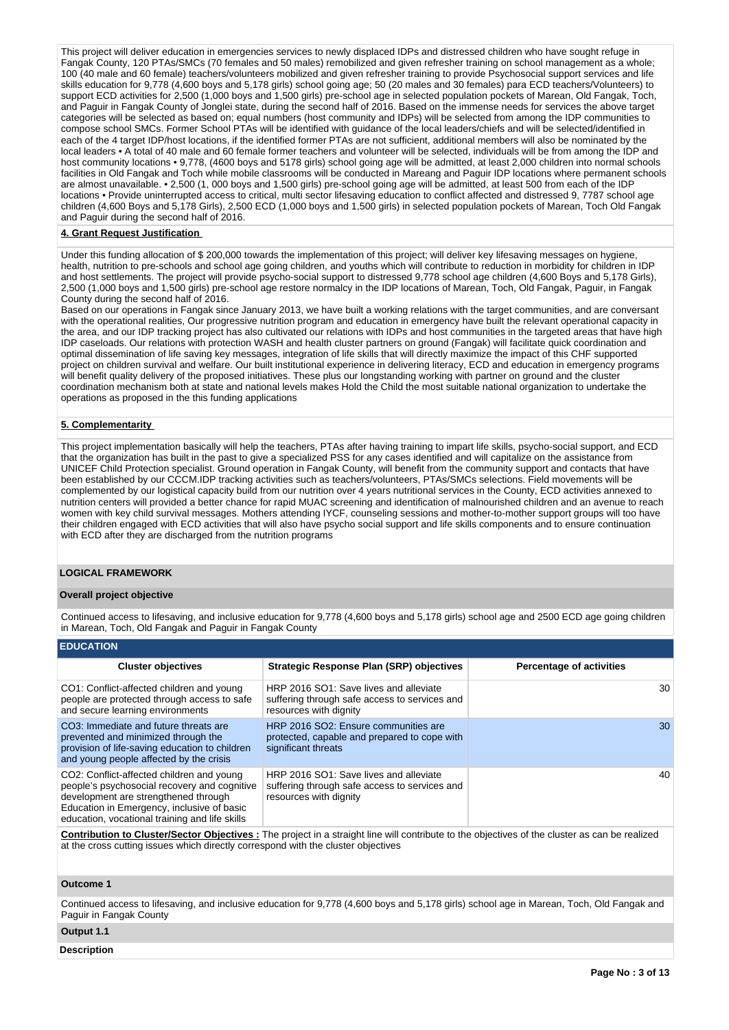This project will deliver education in emergencies services to newly displaced IDPs and distressed children who have sought refuge in Fangak County, 120 PTAs/SMCs (70 females and 50 males) remobilized and given refresher training on school management as a whole; 100 (40 male and 60 female) teachers/volunteers mobilized and given refresher training to provide Psychosocial support services and life skills education for 9,778 (4,600 boys and 5,178 girls) school going age; 50 (20 males and 30 females) para ECD teachers/Volunteers) to support ECD activities for 2,500 (1,000 boys and 1,500 girls) pre-school age in selected population pockets of Marean, Old Fangak, Toch, and Paguir in Fangak County of Jonglei state, during the second half of 2016. Based on the immense needs for services the above target categories will be selected as based on; equal numbers (host community and IDPs) will be selected from among the IDP communities to compose school SMCs. Former School PTAs will be identified with guidance of the local leaders/chiefs and will be selected/identified in each of the 4 target IDP/host locations, if the identified former PTAs are not sufficient, additional members will also be nominated by the local leaders • A total of 40 male and 60 female former teachers and volunteer will be selected, individuals will be from among the IDP and host community locations • 9,778, (4600 boys and 5178 girls) school going age will be admitted, at least 2,000 children into normal schools facilities in Old Fangak and Toch while mobile classrooms will be conducted in Mareang and Paguir IDP locations where permanent schools are almost unavailable. • 2,500 (1, 000 boys and 1,500 girls) pre-school going age will be admitted, at least 500 from each of the IDP locations • Provide uninterrupted access to critical, multi sector lifesaving education to conflict affected and distressed 9, 7787 school age children (4,600 Boys and 5,178 Girls), 2,500 ECD (1,000 boys and 1,500 girls) in selected population pockets of Marean, Toch Old Fangak and Paguir during the second half of 2016.

#### **4. Grant Request Justification**

Under this funding allocation of \$ 200,000 towards the implementation of this project; will deliver key lifesaving messages on hygiene, health, nutrition to pre-schools and school age going children, and youths which will contribute to reduction in morbidity for children in IDP and host settlements. The project will provide psycho-social support to distressed 9,778 school age children (4,600 Boys and 5,178 Girls), 2,500 (1,000 boys and 1,500 girls) pre-school age restore normalcy in the IDP locations of Marean, Toch, Old Fangak, Paguir, in Fangak County during the second half of 2016.

Based on our operations in Fangak since January 2013, we have built a working relations with the target communities, and are conversant with the operational realities, Our progressive nutrition program and education in emergency have built the relevant operational capacity in the area, and our IDP tracking project has also cultivated our relations with IDPs and host communities in the targeted areas that have high IDP caseloads. Our relations with protection WASH and health cluster partners on ground (Fangak) will facilitate quick coordination and optimal dissemination of life saving key messages, integration of life skills that will directly maximize the impact of this CHF supported project on children survival and welfare. Our built institutional experience in delivering literacy, ECD and education in emergency programs will benefit quality delivery of the proposed initiatives. These plus our longstanding working with partner on ground and the cluster coordination mechanism both at state and national levels makes Hold the Child the most suitable national organization to undertake the operations as proposed in the this funding applications

#### **5. Complementarity**

This project implementation basically will help the teachers, PTAs after having training to impart life skills, psycho-social support, and ECD that the organization has built in the past to give a specialized PSS for any cases identified and will capitalize on the assistance from UNICEF Child Protection specialist. Ground operation in Fangak County, will benefit from the community support and contacts that have been established by our CCCM.IDP tracking activities such as teachers/volunteers, PTAs/SMCs selections. Field movements will be complemented by our logistical capacity build from our nutrition over 4 years nutritional services in the County, ECD activities annexed to nutrition centers will provided a better chance for rapid MUAC screening and identification of malnourished children and an avenue to reach women with key child survival messages. Mothers attending IYCF, counseling sessions and mother-to-mother support groups will too have their children engaged with ECD activities that will also have psycho social support and life skills components and to ensure continuation with ECD after they are discharged from the nutrition programs

### **LOGICAL FRAMEWORK**

#### **Overall project objective**

Continued access to lifesaving, and inclusive education for 9,778 (4,600 boys and 5,178 girls) school age and 2500 ECD age going children in Marean, Toch, Old Fangak and Paguir in Fangak County

| <b>EDUCATION</b>                                                                                                                                                                                                                  |                                                                                                                                                |                                 |
|-----------------------------------------------------------------------------------------------------------------------------------------------------------------------------------------------------------------------------------|------------------------------------------------------------------------------------------------------------------------------------------------|---------------------------------|
| <b>Cluster objectives</b>                                                                                                                                                                                                         | <b>Strategic Response Plan (SRP) objectives</b>                                                                                                | <b>Percentage of activities</b> |
| CO1: Conflict-affected children and young<br>people are protected through access to safe<br>and secure learning environments                                                                                                      | HRP 2016 SO1: Save lives and alleviate<br>suffering through safe access to services and<br>resources with dignity                              | 30                              |
| CO3: Immediate and future threats are<br>prevented and minimized through the<br>provision of life-saving education to children<br>and young people affected by the crisis                                                         | HRP 2016 SO2: Ensure communities are<br>protected, capable and prepared to cope with<br>significant threats                                    | 30                              |
| CO2: Conflict-affected children and young<br>people's psychosocial recovery and cognitive<br>development are strengthened through<br>Education in Emergency, inclusive of basic<br>education, vocational training and life skills | HRP 2016 SO1: Save lives and alleviate<br>suffering through safe access to services and<br>resources with dignity                              | 40                              |
|                                                                                                                                                                                                                                   | Contribution to Clueter Contar Objectives : The project in a straight line will contribute to the objectives of the clueter as easy he regized |                                 |

**Contribution to Cluster/Sector Objectives :** The project in a straight line will contribute to the objectives of the cluster as can be realized at the cross cutting issues which directly correspond with the cluster objectives

### **Outcome 1**

Continued access to lifesaving, and inclusive education for 9,778 (4,600 boys and 5,178 girls) school age in Marean, Toch, Old Fangak and Paguir in Fangak County

# **Output 1.1**

#### **Description**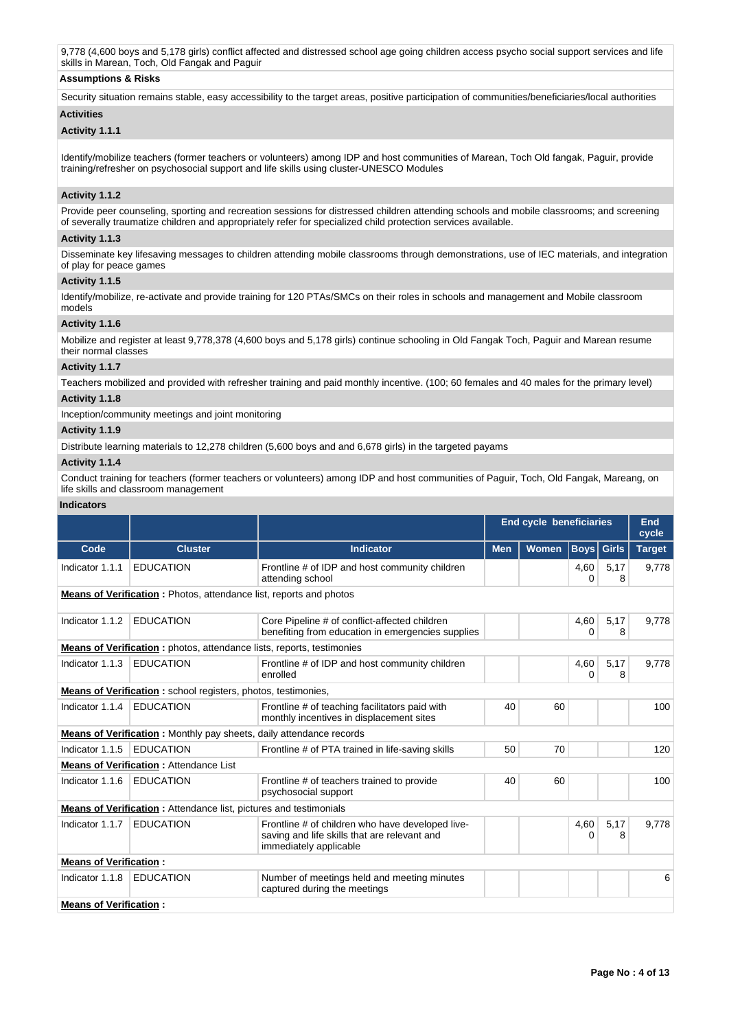9,778 (4,600 boys and 5,178 girls) conflict affected and distressed school age going children access psycho social support services and life skills in Marean, Toch, Old Fangak and Paguir

# **Assumptions & Risks**

Security situation remains stable, easy accessibility to the target areas, positive participation of communities/beneficiaries/local authorities

# **Activities**

# **Activity 1.1.1**

Identify/mobilize teachers (former teachers or volunteers) among IDP and host communities of Marean, Toch Old fangak, Paguir, provide training/refresher on psychosocial support and life skills using cluster-UNESCO Modules

# **Activity 1.1.2**

Provide peer counseling, sporting and recreation sessions for distressed children attending schools and mobile classrooms; and screening of severally traumatize children and appropriately refer for specialized child protection services available.

### **Activity 1.1.3**

Disseminate key lifesaving messages to children attending mobile classrooms through demonstrations, use of IEC materials, and integration of play for peace games

### **Activity 1.1.5**

Identify/mobilize, re-activate and provide training for 120 PTAs/SMCs on their roles in schools and management and Mobile classroom models

# **Activity 1.1.6**

Mobilize and register at least 9,778,378 (4,600 boys and 5,178 girls) continue schooling in Old Fangak Toch, Paguir and Marean resume their normal classes

# **Activity 1.1.7**

Teachers mobilized and provided with refresher training and paid monthly incentive. (100; 60 females and 40 males for the primary level)

# **Activity 1.1.8**

Inception/community meetings and joint monitoring

# **Activity 1.1.9**

Distribute learning materials to 12,278 children (5,600 boys and and 6,678 girls) in the targeted payams

# **Activity 1.1.4**

Conduct training for teachers (former teachers or volunteers) among IDP and host communities of Paguir, Toch, Old Fangak, Mareang, on life skills and classroom management

### **Indicators**

|                                                                      |                                                                              |                                                                                                                            |            | <b>End cycle beneficiaries</b> |                   |           | End<br>cycle  |  |
|----------------------------------------------------------------------|------------------------------------------------------------------------------|----------------------------------------------------------------------------------------------------------------------------|------------|--------------------------------|-------------------|-----------|---------------|--|
| Code                                                                 | <b>Cluster</b>                                                               | <b>Indicator</b>                                                                                                           | <b>Men</b> | <b>Women</b>                   | <b>Boys</b> Girls |           | <b>Target</b> |  |
| Indicator 1.1.1                                                      | <b>EDUCATION</b>                                                             | Frontline # of IDP and host community children<br>attending school                                                         |            |                                | 4,60<br>0         | 5,17<br>8 | 9,778         |  |
|                                                                      | Means of Verification: Photos, attendance list, reports and photos           |                                                                                                                            |            |                                |                   |           |               |  |
| Indicator 1.1.2                                                      | <b>EDUCATION</b>                                                             | Core Pipeline # of conflict-affected children<br>benefiting from education in emergencies supplies                         |            |                                | 4,60<br>0         | 5,17<br>8 | 9.778         |  |
|                                                                      | <b>Means of Verification:</b> photos, attendance lists, reports, testimonies |                                                                                                                            |            |                                |                   |           |               |  |
| Indicator 1.1.3                                                      | <b>EDUCATION</b>                                                             | Frontline # of IDP and host community children<br>enrolled                                                                 |            |                                | 4,60<br>0         | 5,17<br>8 | 9.778         |  |
| <b>Means of Verification:</b> school registers, photos, testimonies, |                                                                              |                                                                                                                            |            |                                |                   |           |               |  |
| Indicator 1.1.4                                                      | <b>EDUCATION</b>                                                             | Frontline # of teaching facilitators paid with<br>monthly incentives in displacement sites                                 | 40         | 60                             |                   |           | 100           |  |
|                                                                      | <b>Means of Verification:</b> Monthly pay sheets, daily attendance records   |                                                                                                                            |            |                                |                   |           |               |  |
| Indicator 1.1.5                                                      | <b>EDUCATION</b>                                                             | Frontline # of PTA trained in life-saving skills                                                                           | 50         | 70                             |                   |           | 120           |  |
|                                                                      | <b>Means of Verification: Attendance List</b>                                |                                                                                                                            |            |                                |                   |           |               |  |
| Indicator 1.1.6                                                      | <b>EDUCATION</b>                                                             | Frontline # of teachers trained to provide<br>psychosocial support                                                         | 40         | 60                             |                   |           | 100           |  |
|                                                                      | <b>Means of Verification:</b> Attendance list, pictures and testimonials     |                                                                                                                            |            |                                |                   |           |               |  |
| Indicator 1.1.7                                                      | <b>EDUCATION</b>                                                             | Frontline # of children who have developed live-<br>saving and life skills that are relevant and<br>immediately applicable |            |                                | 4,60<br>0         | 5,17<br>8 | 9,778         |  |
| <b>Means of Verification:</b>                                        |                                                                              |                                                                                                                            |            |                                |                   |           |               |  |
| Indicator 1.1.8                                                      | <b>EDUCATION</b>                                                             | Number of meetings held and meeting minutes<br>captured during the meetings                                                |            |                                |                   |           | 6             |  |
| <b>Means of Verification:</b>                                        |                                                                              |                                                                                                                            |            |                                |                   |           |               |  |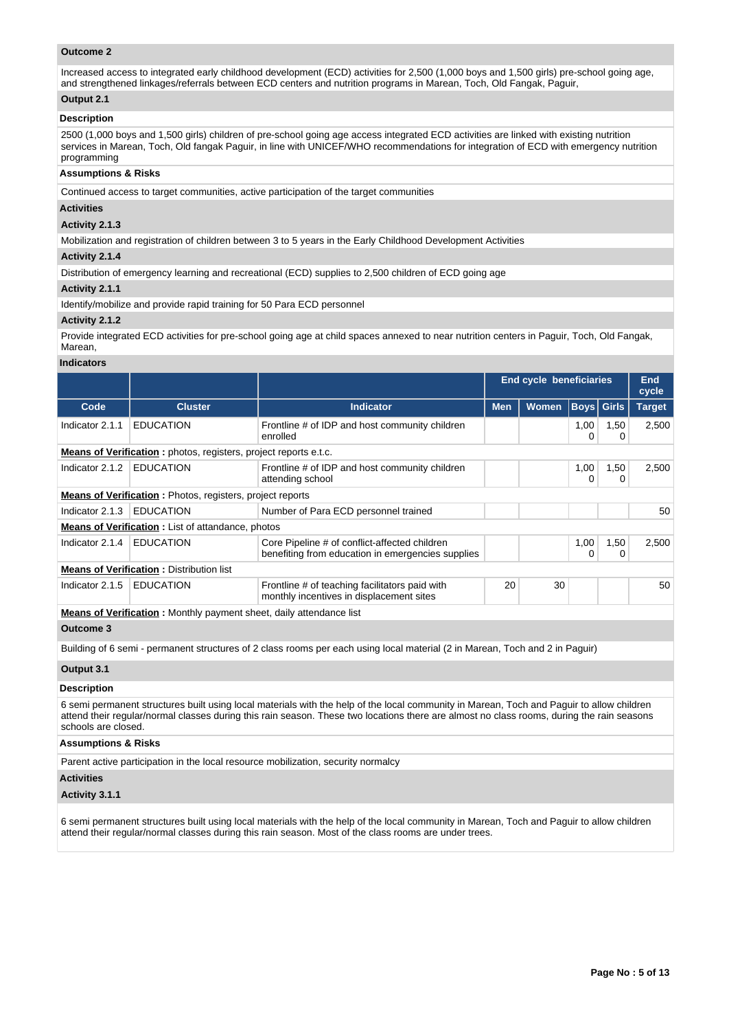### **Outcome 2**

Increased access to integrated early childhood development (ECD) activities for 2,500 (1,000 boys and 1,500 girls) pre-school going age, and strengthened linkages/referrals between ECD centers and nutrition programs in Marean, Toch, Old Fangak, Paguir,

# **Output 2.1**

#### **Description**

2500 (1,000 boys and 1,500 girls) children of pre-school going age access integrated ECD activities are linked with existing nutrition services in Marean, Toch, Old fangak Paguir, in line with UNICEF/WHO recommendations for integration of ECD with emergency nutrition programming

### **Assumptions & Risks**

Continued access to target communities, active participation of the target communities

### **Activities**

#### **Activity 2.1.3**

Mobilization and registration of children between 3 to 5 years in the Early Childhood Development Activities

#### **Activity 2.1.4**

Distribution of emergency learning and recreational (ECD) supplies to 2,500 children of ECD going age

### **Activity 2.1.1**

Identify/mobilize and provide rapid training for 50 Para ECD personnel

#### **Activity 2.1.2**

Provide integrated ECD activities for pre-school going age at child spaces annexed to near nutrition centers in Paguir, Toch, Old Fangak, Marean,

#### **Indicators**

|                 |                                                                            |                                                                                                    |            | <b>End cycle beneficiaries</b> |                   |           | <b>End</b><br>cycle |  |
|-----------------|----------------------------------------------------------------------------|----------------------------------------------------------------------------------------------------|------------|--------------------------------|-------------------|-----------|---------------------|--|
| Code            | <b>Cluster</b>                                                             | <b>Indicator</b>                                                                                   | <b>Men</b> | <b>Women</b>                   | <b>Boys Girls</b> |           | <b>Target</b>       |  |
| Indicator 2.1.1 | <b>EDUCATION</b>                                                           | Frontline # of IDP and host community children<br>enrolled                                         |            |                                | 1,00              | 1,50<br>0 | 2,500               |  |
|                 | <b>Means of Verification</b> : photos, registers, project reports e.t.c.   |                                                                                                    |            |                                |                   |           |                     |  |
| Indicator 2.1.2 | <b>EDUCATION</b>                                                           | Frontline # of IDP and host community children<br>attending school                                 |            |                                | 1,00<br>0         | 1,50<br>0 | 2,500               |  |
|                 | <b>Means of Verification:</b> Photos, registers, project reports           |                                                                                                    |            |                                |                   |           |                     |  |
| Indicator 2.1.3 | <b>EDUCATION</b>                                                           | Number of Para ECD personnel trained                                                               |            |                                |                   |           | 50                  |  |
|                 | <b>Means of Verification:</b> List of attandance, photos                   |                                                                                                    |            |                                |                   |           |                     |  |
| Indicator 2.1.4 | <b>EDUCATION</b>                                                           | Core Pipeline # of conflict-affected children<br>benefiting from education in emergencies supplies |            |                                | 1,00              | 1,50<br>0 | 2,500               |  |
|                 | <b>Means of Verification: Distribution list</b>                            |                                                                                                    |            |                                |                   |           |                     |  |
| Indicator 2.1.5 | <b>EDUCATION</b>                                                           | Frontline # of teaching facilitators paid with<br>monthly incentives in displacement sites         | 20         | 30                             |                   |           | 50                  |  |
|                 | <b>Means of Verification:</b> Monthly payment sheet, daily attendance list |                                                                                                    |            |                                |                   |           |                     |  |

# **Outcome 3**

Building of 6 semi - permanent structures of 2 class rooms per each using local material (2 in Marean, Toch and 2 in Paguir)

### **Output 3.1**

### **Description**

6 semi permanent structures built using local materials with the help of the local community in Marean, Toch and Paguir to allow children attend their regular/normal classes during this rain season. These two locations there are almost no class rooms, during the rain seasons schools are closed

#### **Assumptions & Risks**

Parent active participation in the local resource mobilization, security normalcy

# **Activities**

# **Activity 3.1.1**

6 semi permanent structures built using local materials with the help of the local community in Marean, Toch and Paguir to allow children attend their regular/normal classes during this rain season. Most of the class rooms are under trees.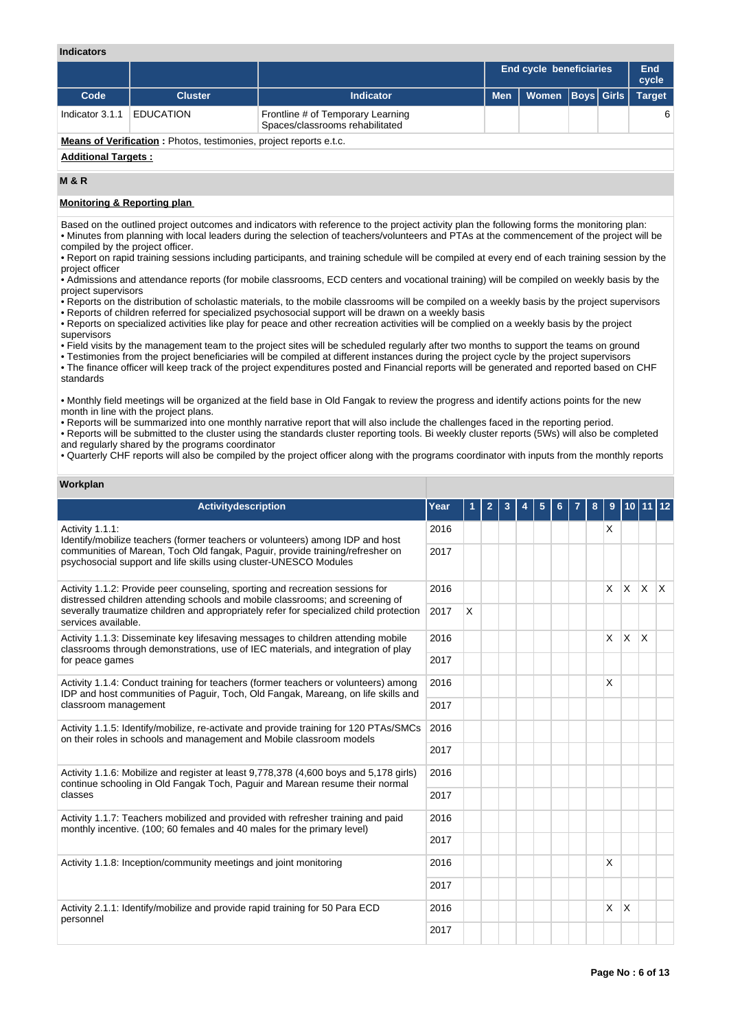### **Indicators**

|                                                                           |                  |                                                                      |            | End cycle beneficiaries |  |  | End<br>cycle  |  |
|---------------------------------------------------------------------------|------------------|----------------------------------------------------------------------|------------|-------------------------|--|--|---------------|--|
| Code                                                                      | <b>Cluster</b>   | <b>Indicator</b>                                                     | <b>Men</b> | Women   Boys   Girls    |  |  | <b>Target</b> |  |
| Indicator 3.1.1                                                           | <b>EDUCATION</b> | Frontline # of Temporary Learning<br>Spaces/classrooms rehabilitated |            |                         |  |  | 6             |  |
| <b>Means of Verification:</b> Photos, testimonies, project reports e.t.c. |                  |                                                                      |            |                         |  |  |               |  |
|                                                                           |                  |                                                                      |            |                         |  |  |               |  |

### **Additional Targets :**

# **M & R**

# **Monitoring & Reporting plan**

Based on the outlined project outcomes and indicators with reference to the project activity plan the following forms the monitoring plan: • Minutes from planning with local leaders during the selection of teachers/volunteers and PTAs at the commencement of the project will be compiled by the project officer.

• Report on rapid training sessions including participants, and training schedule will be compiled at every end of each training session by the project officer

• Admissions and attendance reports (for mobile classrooms, ECD centers and vocational training) will be compiled on weekly basis by the project supervisors

• Reports on the distribution of scholastic materials, to the mobile classrooms will be compiled on a weekly basis by the project supervisors • Reports of children referred for specialized psychosocial support will be drawn on a weekly basis

• Reports on specialized activities like play for peace and other recreation activities will be complied on a weekly basis by the project supervisors

• Field visits by the management team to the project sites will be scheduled regularly after two months to support the teams on ground

• Testimonies from the project beneficiaries will be compiled at different instances during the project cycle by the project supervisors

• The finance officer will keep track of the project expenditures posted and Financial reports will be generated and reported based on CHF standards

• Monthly field meetings will be organized at the field base in Old Fangak to review the progress and identify actions points for the new month in line with the project plans.

• Reports will be summarized into one monthly narrative report that will also include the challenges faced in the reporting period. • Reports will be submitted to the cluster using the standards cluster reporting tools. Bi weekly cluster reports (5Ws) will also be completed and regularly shared by the programs coordinator

• Quarterly CHF reports will also be compiled by the project officer along with the programs coordinator with inputs from the monthly reports

# **Workplan**

| <b>Activitydescription</b>                                                                                                                                               | Year |   | $\overline{2}$ | 3 | 5 |  | 8 | 9        |              |            |  |
|--------------------------------------------------------------------------------------------------------------------------------------------------------------------------|------|---|----------------|---|---|--|---|----------|--------------|------------|--|
| Activity 1.1.1:<br>Identify/mobilize teachers (former teachers or volunteers) among IDP and host                                                                         |      |   |                |   |   |  |   | X        |              |            |  |
| communities of Marean, Toch Old fangak, Paguir, provide training/refresher on<br>psychosocial support and life skills using cluster-UNESCO Modules                       | 2017 |   |                |   |   |  |   |          |              |            |  |
| Activity 1.1.2: Provide peer counseling, sporting and recreation sessions for<br>distressed children attending schools and mobile classrooms; and screening of           | 2016 |   |                |   |   |  |   | $\times$ | $\mathsf{x}$ | $x \times$ |  |
| severally traumatize children and appropriately refer for specialized child protection<br>services available.                                                            | 2017 | X |                |   |   |  |   |          |              |            |  |
| Activity 1.1.3: Disseminate key lifesaving messages to children attending mobile<br>classrooms through demonstrations, use of IEC materials, and integration of play     | 2016 |   |                |   |   |  |   | $\times$ | X            | X          |  |
| for peace games                                                                                                                                                          | 2017 |   |                |   |   |  |   |          |              |            |  |
| Activity 1.1.4: Conduct training for teachers (former teachers or volunteers) among<br>IDP and host communities of Paguir, Toch, Old Fangak, Mareang, on life skills and | 2016 |   |                |   |   |  |   | X        |              |            |  |
| classroom management                                                                                                                                                     | 2017 |   |                |   |   |  |   |          |              |            |  |
| Activity 1.1.5: Identify/mobilize, re-activate and provide training for 120 PTAs/SMCs<br>on their roles in schools and management and Mobile classroom models            | 2016 |   |                |   |   |  |   |          |              |            |  |
|                                                                                                                                                                          | 2017 |   |                |   |   |  |   |          |              |            |  |
| Activity 1.1.6: Mobilize and register at least 9,778,378 (4,600 boys and 5,178 girls)<br>continue schooling in Old Fangak Toch, Paguir and Marean resume their normal    | 2016 |   |                |   |   |  |   |          |              |            |  |
| classes                                                                                                                                                                  | 2017 |   |                |   |   |  |   |          |              |            |  |
| Activity 1.1.7: Teachers mobilized and provided with refresher training and paid<br>monthly incentive. (100; 60 females and 40 males for the primary level)              | 2016 |   |                |   |   |  |   |          |              |            |  |
|                                                                                                                                                                          | 2017 |   |                |   |   |  |   |          |              |            |  |
| Activity 1.1.8: Inception/community meetings and joint monitoring                                                                                                        | 2016 |   |                |   |   |  |   | X        |              |            |  |
|                                                                                                                                                                          | 2017 |   |                |   |   |  |   |          |              |            |  |
| Activity 2.1.1: Identify/mobilize and provide rapid training for 50 Para ECD<br>personnel                                                                                | 2016 |   |                |   |   |  |   | <b>X</b> | ΙX.          |            |  |
|                                                                                                                                                                          |      |   |                |   |   |  |   |          |              |            |  |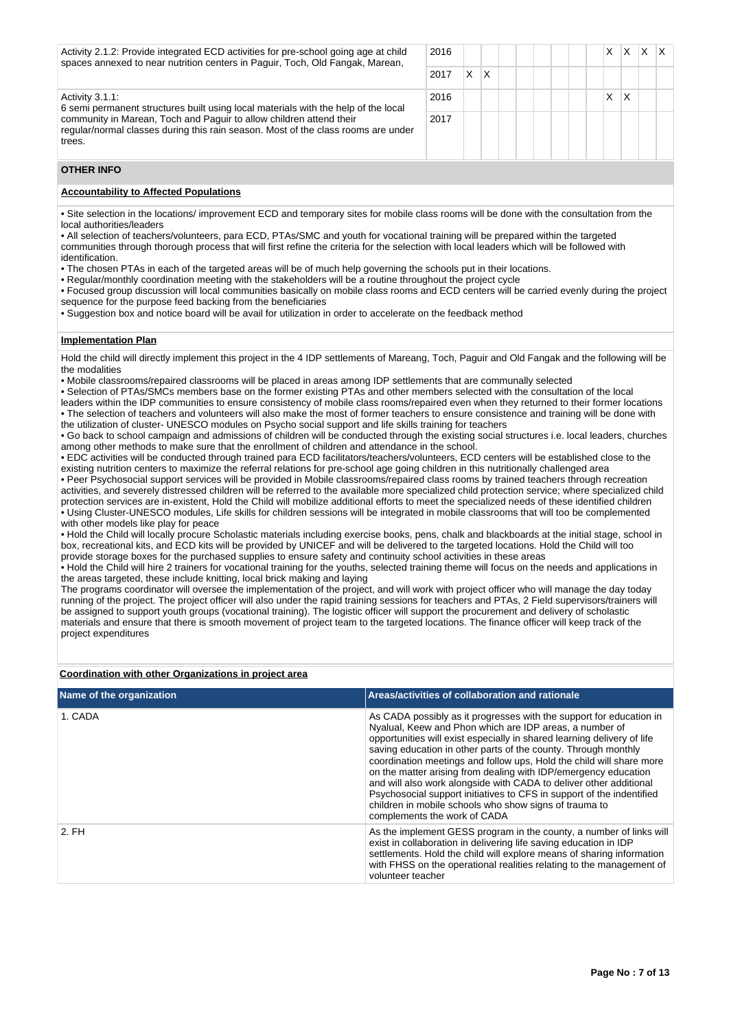| Activity 2.1.2: Provide integrated ECD activities for pre-school going age at child<br>spaces annexed to near nutrition centers in Paguir, Toch, Old Fangak, Marean, | 2016 |   |   |  |  | x | x |  |
|----------------------------------------------------------------------------------------------------------------------------------------------------------------------|------|---|---|--|--|---|---|--|
| 2017                                                                                                                                                                 |      | X | X |  |  |   |   |  |
| Activity 3.1.1.<br>6 semi permanent structures built using local materials with the help of the local                                                                | 2016 |   |   |  |  | X | Χ |  |
| community in Marean, Toch and Paguir to allow children attend their<br>regular/normal classes during this rain season. Most of the class rooms are under<br>trees.   | 2017 |   |   |  |  |   |   |  |

# **OTHER INFO**

### **Accountability to Affected Populations**

• Site selection in the locations/ improvement ECD and temporary sites for mobile class rooms will be done with the consultation from the local authorities/leaders

- All selection of teachers/volunteers, para ECD, PTAs/SMC and youth for vocational training will be prepared within the targeted communities through thorough process that will first refine the criteria for the selection with local leaders which will be followed with
- identification.
- The chosen PTAs in each of the targeted areas will be of much help governing the schools put in their locations.
- Regular/monthly coordination meeting with the stakeholders will be a routine throughout the project cycle
- Focused group discussion will local communities basically on mobile class rooms and ECD centers will be carried evenly during the project sequence for the purpose feed backing from the beneficiaries
- Suggestion box and notice board will be avail for utilization in order to accelerate on the feedback method

### **Implementation Plan**

Hold the child will directly implement this project in the 4 IDP settlements of Mareang, Toch, Paguir and Old Fangak and the following will be the modalities

• Mobile classrooms/repaired classrooms will be placed in areas among IDP settlements that are communally selected

• Selection of PTAs/SMCs members base on the former existing PTAs and other members selected with the consultation of the local leaders within the IDP communities to ensure consistency of mobile class rooms/repaired even when they returned to their former locations

• The selection of teachers and volunteers will also make the most of former teachers to ensure consistence and training will be done with the utilization of cluster- UNESCO modules on Psycho social support and life skills training for teachers

• Go back to school campaign and admissions of children will be conducted through the existing social structures i.e. local leaders, churches among other methods to make sure that the enrollment of children and attendance in the school.

• EDC activities will be conducted through trained para ECD facilitators/teachers/volunteers, ECD centers will be established close to the existing nutrition centers to maximize the referral relations for pre-school age going children in this nutritionally challenged area

• Peer Psychosocial support services will be provided in Mobile classrooms/repaired class rooms by trained teachers through recreation activities, and severely distressed children will be referred to the available more specialized child protection service; where specialized child protection services are in-existent, Hold the Child will mobilize additional efforts to meet the specialized needs of these identified children • Using Cluster-UNESCO modules, Life skills for children sessions will be integrated in mobile classrooms that will too be complemented with other models like play for peace

• Hold the Child will locally procure Scholastic materials including exercise books, pens, chalk and blackboards at the initial stage, school in box, recreational kits, and ECD kits will be provided by UNICEF and will be delivered to the targeted locations. Hold the Child will too provide storage boxes for the purchased supplies to ensure safety and continuity school activities in these areas

• Hold the Child will hire 2 trainers for vocational training for the youths, selected training theme will focus on the needs and applications in the areas targeted, these include knitting, local brick making and laying

The programs coordinator will oversee the implementation of the project, and will work with project officer who will manage the day today running of the project. The project officer will also under the rapid training sessions for teachers and PTAs, 2 Field supervisors/trainers will be assigned to support youth groups (vocational training). The logistic officer will support the procurement and delivery of scholastic materials and ensure that there is smooth movement of project team to the targeted locations. The finance officer will keep track of the project expenditures

### **Coordination with other Organizations in project area**

| Name of the organization | Areas/activities of collaboration and rationale                                                                                                                                                                                                                                                                                                                                                                                                                                                                                                                                                                                                                 |
|--------------------------|-----------------------------------------------------------------------------------------------------------------------------------------------------------------------------------------------------------------------------------------------------------------------------------------------------------------------------------------------------------------------------------------------------------------------------------------------------------------------------------------------------------------------------------------------------------------------------------------------------------------------------------------------------------------|
| 1. CADA                  | As CADA possibly as it progresses with the support for education in<br>Nyalual, Keew and Phon which are IDP areas, a number of<br>opportunities will exist especially in shared learning delivery of life<br>saving education in other parts of the county. Through monthly<br>coordination meetings and follow ups. Hold the child will share more<br>on the matter arising from dealing with IDP/emergency education<br>and will also work alongside with CADA to deliver other additional<br>Psychosocial support initiatives to CFS in support of the indentified<br>children in mobile schools who show signs of trauma to<br>complements the work of CADA |
| 2. FH                    | As the implement GESS program in the county, a number of links will<br>exist in collaboration in delivering life saving education in IDP<br>settlements. Hold the child will explore means of sharing information<br>with FHSS on the operational realities relating to the management of<br>volunteer teacher                                                                                                                                                                                                                                                                                                                                                  |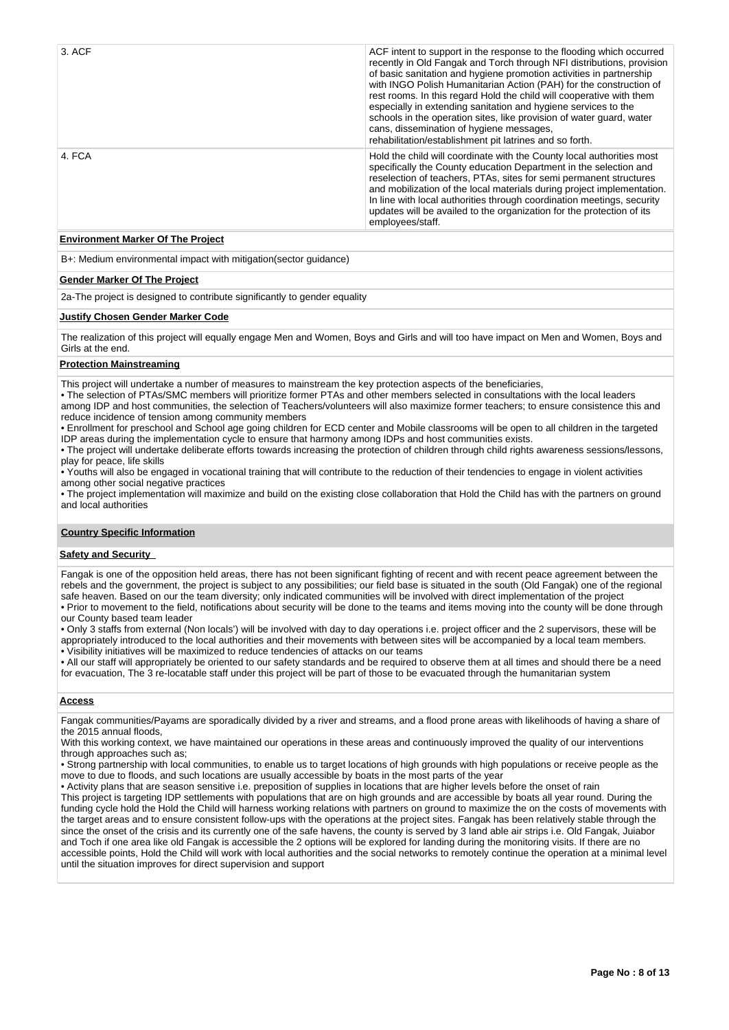| 3. ACF | ACF intent to support in the response to the flooding which occurred<br>recently in Old Fangak and Torch through NFI distributions, provision<br>of basic sanitation and hygiene promotion activities in partnership<br>with INGO Polish Humanitarian Action (PAH) for the construction of<br>rest rooms. In this regard Hold the child will cooperative with them<br>especially in extending sanitation and hygiene services to the<br>schools in the operation sites, like provision of water guard, water<br>cans, dissemination of hygiene messages,<br>rehabilitation/establishment pit latrines and so forth. |
|--------|---------------------------------------------------------------------------------------------------------------------------------------------------------------------------------------------------------------------------------------------------------------------------------------------------------------------------------------------------------------------------------------------------------------------------------------------------------------------------------------------------------------------------------------------------------------------------------------------------------------------|
| 4. FCA | Hold the child will coordinate with the County local authorities most<br>specifically the County education Department in the selection and<br>reselection of teachers, PTAs, sites for semi permanent structures<br>and mobilization of the local materials during project implementation.<br>In line with local authorities through coordination meetings, security<br>updates will be availed to the organization for the protection of its<br>employees/staff.                                                                                                                                                   |

### **Environment Marker Of The Project**

B+: Medium environmental impact with mitigation(sector guidance)

### **Gender Marker Of The Project**

2a-The project is designed to contribute significantly to gender equality

### **Justify Chosen Gender Marker Code**

The realization of this project will equally engage Men and Women, Boys and Girls and will too have impact on Men and Women, Boys and Girls at the end.

#### **Protection Mainstreaming**

This project will undertake a number of measures to mainstream the key protection aspects of the beneficiaries,

• The selection of PTAs/SMC members will prioritize former PTAs and other members selected in consultations with the local leaders among IDP and host communities, the selection of Teachers/volunteers will also maximize former teachers; to ensure consistence this and reduce incidence of tension among community members

• Enrollment for preschool and School age going children for ECD center and Mobile classrooms will be open to all children in the targeted IDP areas during the implementation cycle to ensure that harmony among IDPs and host communities exists.

• The project will undertake deliberate efforts towards increasing the protection of children through child rights awareness sessions/lessons, play for peace, life skills

• Youths will also be engaged in vocational training that will contribute to the reduction of their tendencies to engage in violent activities among other social negative practices

• The project implementation will maximize and build on the existing close collaboration that Hold the Child has with the partners on ground and local authorities

# **Country Specific Information**

# **Safety and Security**

Fangak is one of the opposition held areas, there has not been significant fighting of recent and with recent peace agreement between the rebels and the government, the project is subject to any possibilities; our field base is situated in the south (Old Fangak) one of the regional safe heaven. Based on our the team diversity; only indicated communities will be involved with direct implementation of the project • Prior to movement to the field, notifications about security will be done to the teams and items moving into the county will be done through our County based team leader

• Only 3 staffs from external (Non locals') will be involved with day to day operations i.e. project officer and the 2 supervisors, these will be appropriately introduced to the local authorities and their movements with between sites will be accompanied by a local team members. • Visibility initiatives will be maximized to reduce tendencies of attacks on our teams

• All our staff will appropriately be oriented to our safety standards and be required to observe them at all times and should there be a need for evacuation, The 3 re-locatable staff under this project will be part of those to be evacuated through the humanitarian system

### **Access**

Fangak communities/Payams are sporadically divided by a river and streams, and a flood prone areas with likelihoods of having a share of the 2015 annual floods,

With this working context, we have maintained our operations in these areas and continuously improved the quality of our interventions through approaches such as;

• Strong partnership with local communities, to enable us to target locations of high grounds with high populations or receive people as the move to due to floods, and such locations are usually accessible by boats in the most parts of the year

• Activity plans that are season sensitive i.e. preposition of supplies in locations that are higher levels before the onset of rain

This project is targeting IDP settlements with populations that are on high grounds and are accessible by boats all year round. During the funding cycle hold the Hold the Child will harness working relations with partners on ground to maximize the on the costs of movements with the target areas and to ensure consistent follow-ups with the operations at the project sites. Fangak has been relatively stable through the since the onset of the crisis and its currently one of the safe havens, the county is served by 3 land able air strips i.e. Old Fangak, Juiabor and Toch if one area like old Fangak is accessible the 2 options will be explored for landing during the monitoring visits. If there are no accessible points, Hold the Child will work with local authorities and the social networks to remotely continue the operation at a minimal level until the situation improves for direct supervision and support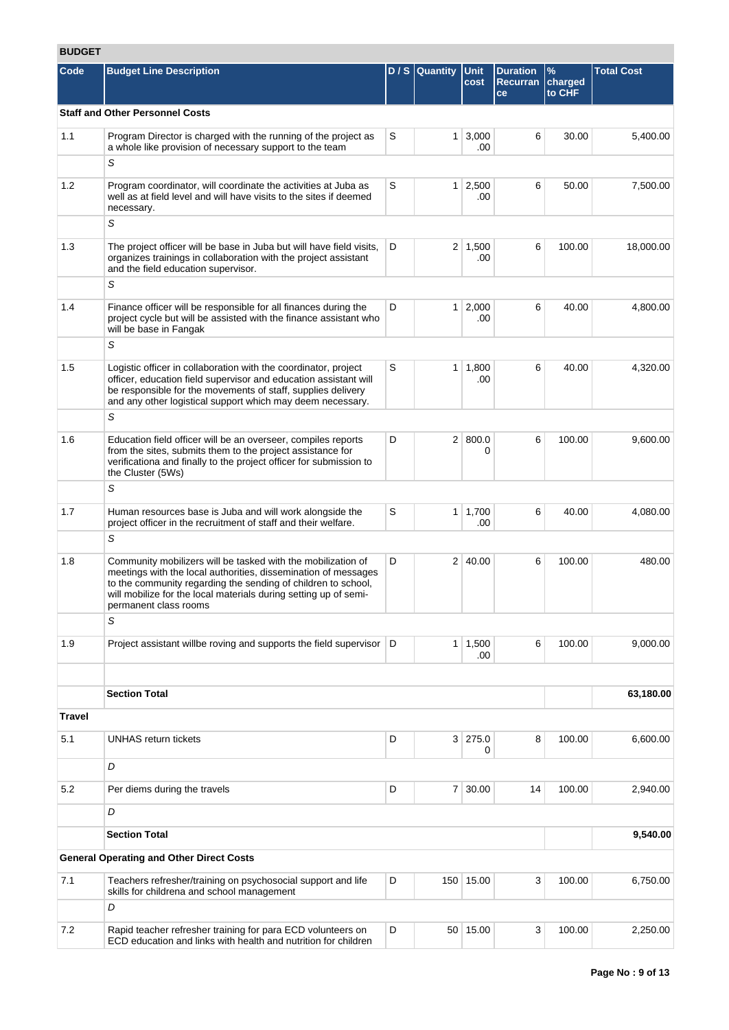# **BUDGET**

| ובטשט  |                                                                                                                                                                                                                                                                                              |   |                |                       |                                          |                           |                   |
|--------|----------------------------------------------------------------------------------------------------------------------------------------------------------------------------------------------------------------------------------------------------------------------------------------------|---|----------------|-----------------------|------------------------------------------|---------------------------|-------------------|
| Code   | <b>Budget Line Description</b>                                                                                                                                                                                                                                                               |   | $D/S$ Quantity | <b>Unit</b><br>cost   | <b>Duration</b><br><b>Recurran</b><br>ce | $\%$<br>charged<br>to CHF | <b>Total Cost</b> |
|        | <b>Staff and Other Personnel Costs</b>                                                                                                                                                                                                                                                       |   |                |                       |                                          |                           |                   |
| 1.1    | Program Director is charged with the running of the project as<br>a whole like provision of necessary support to the team                                                                                                                                                                    | S |                | $1 \mid 3,000$<br>.00 | 6                                        | 30.00                     | 5,400.00          |
|        | S                                                                                                                                                                                                                                                                                            |   |                |                       |                                          |                           |                   |
| 1.2    | Program coordinator, will coordinate the activities at Juba as<br>well as at field level and will have visits to the sites if deemed<br>necessary.                                                                                                                                           | S | 1 <sup>1</sup> | 2,500<br>.00          | 6                                        | 50.00                     | 7,500.00          |
|        | S                                                                                                                                                                                                                                                                                            |   |                |                       |                                          |                           |                   |
| 1.3    | The project officer will be base in Juba but will have field visits,<br>organizes trainings in collaboration with the project assistant<br>and the field education supervisor.                                                                                                               | D |                | $2 \mid 1,500$<br>.00 | 6                                        | 100.00                    | 18,000.00         |
|        | S                                                                                                                                                                                                                                                                                            |   |                |                       |                                          |                           |                   |
| 1.4    | Finance officer will be responsible for all finances during the<br>project cycle but will be assisted with the finance assistant who<br>will be base in Fangak                                                                                                                               | D | 1 <sup>1</sup> | 2,000<br>.00          | 6                                        | 40.00                     | 4,800.00          |
|        | S                                                                                                                                                                                                                                                                                            |   |                |                       |                                          |                           |                   |
| 1.5    | Logistic officer in collaboration with the coordinator, project<br>officer, education field supervisor and education assistant will<br>be responsible for the movements of staff, supplies delivery<br>and any other logistical support which may deem necessary.                            | S |                | 1 1,800<br>.00        | 6                                        | 40.00                     | 4,320.00          |
|        | S                                                                                                                                                                                                                                                                                            |   |                |                       |                                          |                           |                   |
| 1.6    | Education field officer will be an overseer, compiles reports<br>from the sites, submits them to the project assistance for<br>verificationa and finally to the project officer for submission to<br>the Cluster (5Ws)                                                                       | D |                | 2   800.0<br>0        | 6                                        | 100.00                    | 9,600.00          |
|        | S                                                                                                                                                                                                                                                                                            |   |                |                       |                                          |                           |                   |
| 1.7    | Human resources base is Juba and will work alongside the<br>project officer in the recruitment of staff and their welfare.                                                                                                                                                                   | S |                | $1 \mid 1,700$<br>.00 | 6                                        | 40.00                     | 4,080.00          |
|        | S                                                                                                                                                                                                                                                                                            |   |                |                       |                                          |                           |                   |
| 1.8    | Community mobilizers will be tasked with the mobilization of<br>meetings with the local authorities, dissemination of messages<br>to the community regarding the sending of children to school,<br>will mobilize for the local materials during setting up of semi-<br>permanent class rooms | D |                | 2   40.00             | 6                                        | 100.00                    | 480.00            |
|        | S                                                                                                                                                                                                                                                                                            |   |                |                       |                                          |                           |                   |
| 1.9    | Project assistant willbe roving and supports the field supervisor   D                                                                                                                                                                                                                        |   |                | $1 \mid 1,500$<br>.00 | 6                                        | 100.00                    | 9,000.00          |
|        |                                                                                                                                                                                                                                                                                              |   |                |                       |                                          |                           |                   |
|        | <b>Section Total</b>                                                                                                                                                                                                                                                                         |   |                |                       |                                          |                           | 63,180.00         |
| Travel |                                                                                                                                                                                                                                                                                              |   |                |                       |                                          |                           |                   |
| 5.1    | <b>UNHAS return tickets</b>                                                                                                                                                                                                                                                                  | D |                | 3 275.0<br>0          | 8                                        | 100.00                    | 6,600.00          |
|        | D                                                                                                                                                                                                                                                                                            |   |                |                       |                                          |                           |                   |
| 5.2    | Per diems during the travels                                                                                                                                                                                                                                                                 | D |                | 7 30.00               | 14                                       | 100.00                    | 2,940.00          |
|        | D                                                                                                                                                                                                                                                                                            |   |                |                       |                                          |                           |                   |
|        | <b>Section Total</b>                                                                                                                                                                                                                                                                         |   |                |                       |                                          |                           | 9,540.00          |
|        | <b>General Operating and Other Direct Costs</b>                                                                                                                                                                                                                                              |   |                |                       |                                          |                           |                   |
| 7.1    | Teachers refresher/training on psychosocial support and life<br>skills for childrena and school management                                                                                                                                                                                   | D |                | 150 15.00             | 3                                        | 100.00                    | 6,750.00          |
|        | D                                                                                                                                                                                                                                                                                            |   |                |                       |                                          |                           |                   |
| 7.2    | Rapid teacher refresher training for para ECD volunteers on<br>ECD education and links with health and nutrition for children                                                                                                                                                                | D |                | 50 15.00              | 3                                        | 100.00                    | 2,250.00          |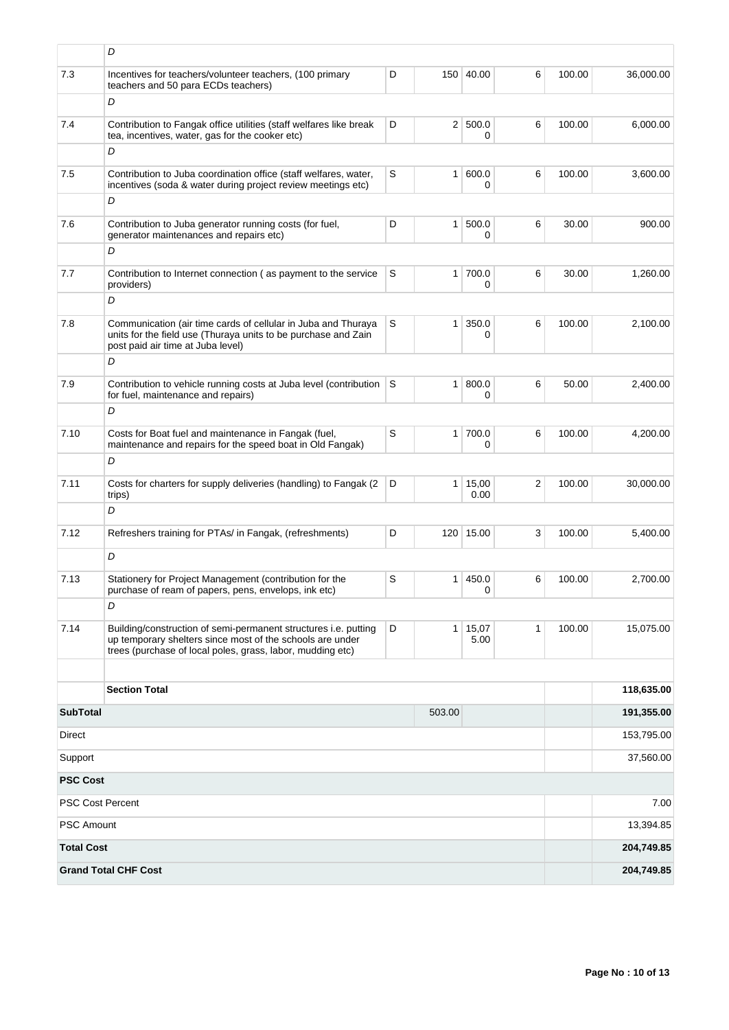|                         | D                                                                                                                                                                                          |   |                |                     |                |        |            |
|-------------------------|--------------------------------------------------------------------------------------------------------------------------------------------------------------------------------------------|---|----------------|---------------------|----------------|--------|------------|
| 7.3                     | Incentives for teachers/volunteer teachers, (100 primary<br>teachers and 50 para ECDs teachers)                                                                                            | D |                | 150 40.00           | 6              | 100.00 | 36,000.00  |
|                         | D                                                                                                                                                                                          |   |                |                     |                |        |            |
| 7.4                     | Contribution to Fangak office utilities (staff welfares like break<br>tea, incentives, water, gas for the cooker etc)                                                                      | D |                | 2   500.0<br>0      | 6              | 100.00 | 6,000.00   |
|                         | D                                                                                                                                                                                          |   |                |                     |                |        |            |
| 7.5                     | Contribution to Juba coordination office (staff welfares, water,<br>incentives (soda & water during project review meetings etc)                                                           | S |                | 1   600.0<br>0      | 6              | 100.00 | 3,600.00   |
|                         | D                                                                                                                                                                                          |   |                |                     |                |        |            |
| 7.6                     | Contribution to Juba generator running costs (for fuel,<br>generator maintenances and repairs etc)                                                                                         | D | 1 <sup>1</sup> | 500.0<br>0          | 6              | 30.00  | 900.00     |
|                         | D                                                                                                                                                                                          |   |                |                     |                |        |            |
| 7.7                     | Contribution to Internet connection (as payment to the service<br>providers)                                                                                                               | S |                | $1 \mid 700.0$<br>0 | 6              | 30.00  | 1,260.00   |
|                         | D                                                                                                                                                                                          |   |                |                     |                |        |            |
| 7.8                     | Communication (air time cards of cellular in Juba and Thuraya<br>units for the field use (Thuraya units to be purchase and Zain<br>post paid air time at Juba level)                       | S | 1 <sup>1</sup> | 350.0<br>0          | 6              | 100.00 | 2,100.00   |
|                         | D                                                                                                                                                                                          |   |                |                     |                |        |            |
| 7.9                     | Contribution to vehicle running costs at Juba level (contribution<br>for fuel, maintenance and repairs)                                                                                    | S | 1 <sup>1</sup> | 800.0<br>0          | 6              | 50.00  | 2,400.00   |
|                         | D                                                                                                                                                                                          |   |                |                     |                |        |            |
| 7.10                    | Costs for Boat fuel and maintenance in Fangak (fuel,<br>maintenance and repairs for the speed boat in Old Fangak)                                                                          | S |                | $1 \mid 700.0$<br>0 | 6              | 100.00 | 4,200.00   |
|                         | D                                                                                                                                                                                          |   |                |                     |                |        |            |
| 7.11                    | Costs for charters for supply deliveries (handling) to Fangak (2<br>trips)                                                                                                                 | D |                | 1   15,00<br>0.00   | $\overline{2}$ | 100.00 | 30,000.00  |
|                         | D                                                                                                                                                                                          |   |                |                     |                |        |            |
| 7.12                    | Refreshers training for PTAs/ in Fangak, (refreshments)                                                                                                                                    | D |                | 120 15.00           | 3              | 100.00 | 5,400.00   |
|                         | D                                                                                                                                                                                          |   |                |                     |                |        |            |
| 7.13                    | Stationery for Project Management (contribution for the<br>purchase of ream of papers, pens, envelops, ink etc)                                                                            | S |                | 1   450.0<br>0      | 6              | 100.00 | 2,700.00   |
|                         | D                                                                                                                                                                                          |   |                |                     |                |        |            |
| 7.14                    | Building/construction of semi-permanent structures i.e. putting<br>up temporary shelters since most of the schools are under<br>trees (purchase of local poles, grass, labor, mudding etc) | D | 1 <sup>1</sup> | 15,07<br>5.00       | $\mathbf{1}$   | 100.00 | 15,075.00  |
|                         |                                                                                                                                                                                            |   |                |                     |                |        |            |
|                         | <b>Section Total</b>                                                                                                                                                                       |   |                |                     |                |        | 118,635.00 |
| <b>SubTotal</b>         |                                                                                                                                                                                            |   | 503.00         |                     |                |        | 191,355.00 |
| Direct                  |                                                                                                                                                                                            |   |                | 153,795.00          |                |        |            |
| Support                 |                                                                                                                                                                                            |   |                |                     |                |        | 37,560.00  |
| <b>PSC Cost</b>         |                                                                                                                                                                                            |   |                |                     |                |        |            |
| <b>PSC Cost Percent</b> |                                                                                                                                                                                            |   |                |                     |                |        | 7.00       |
| <b>PSC Amount</b>       |                                                                                                                                                                                            |   |                |                     |                |        | 13,394.85  |
| <b>Total Cost</b>       |                                                                                                                                                                                            |   |                |                     |                |        | 204,749.85 |
|                         | <b>Grand Total CHF Cost</b>                                                                                                                                                                |   |                |                     |                |        | 204,749.85 |